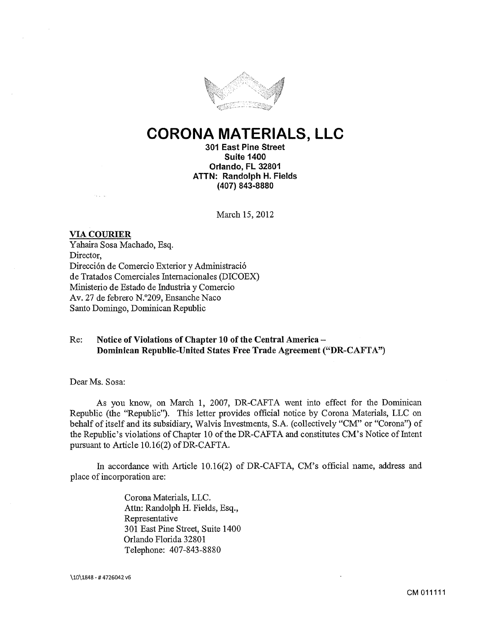

# **CORONA MATERIALS, LLC**

**301 East Pine Street Suite 1400 Orlando, FL 32801 ATTN: Randolph H. Fields (407) 843-8880** 

March 15, 2012

#### **VIA COURIER**

Y ahaira Sosa Machado, Esq. Director, Direcci6n de Comercio Exterior y Administraci6 de Tratados Comerciales Intemacionales (DICOEX) Ministerio de Estado de Industria y Comercio Av. 27 de febrero N.0 209, Ensanche Naco Santo Domingo, Dominican Republic

# Re: **Notice of Violations of Chapter 10 of the Central America-Dominican Republic-United States Free Trade Agreement ("DR-CAFTA")**

Dear Ms. Sosa:

As you know, on March 1, 2007, DR-CAFTA went into effect for the Dominican Republic (the "Republic"). This letter provides official notice by Corona Materials, LLC on behalf of itself and its subsidiary, Walvis Investments, S.A. (collectively "CM" or "Corona") of the Republic's violations of Chapter 10 of the DR-CAFTA and constitutes CM's Notice of Intent pursuant to Article 10.16(2) of DR-CAFTA.

In accordance with Article 10.16(2) of DR-CAFTA, CM's official name, address and place of incorporation are:

> Corona Materials, LLC. Attn: Randolph H. Fields, Esq., Representative 301 East Pine Street, Suite 1400 Orlando Florida 32801 Telephone: 407-843-8880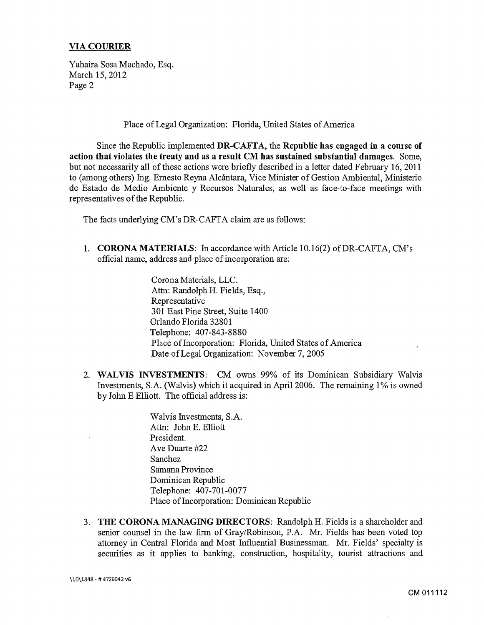Yahaira Sosa Machado, Esq. March 15, 2012 Page 2

Place of Legal Organization: Florida, United States of America

Since the Republic implemented **DR-CAFTA, the Republic has engaged in a course of action that violates the treaty and as a result CM has sustained substantial damages.** Some, but not necessarily all of these actions were briefly described in a letter dated February 16, 2011 to (among others) Ing. Ernesto Reyna Alcántara, Vice Minister of Gestion Ambiental, Ministerio de Estado de Medio Ambiente y Recursos Naturales, as well as face-to-face meetings with representatives of the Republic.

The facts underlying CM's DR-CAFTA claim are as follows:

1. **CORONA MATERIALS:** In accordance with Article 10.16(2) ofDR-CAFTA, CM's official name, address and place of incorporation are:

> Corona Materials, LLC. Attn: Randolph H. Fields, Esq., Representative 301 East Pine Street, Suite 1400 Orlando Florida 32801 Telephone: 407-843-8880 Place of Incorporation: Florida, United States of America Date of Legal Organization: November 7, 2005

2. **WALVIS INVESTMENTS:** CM owns 99% of its Dominican Subsidiary Walvis Investments, S.A. (Walvis) which it acquired in April2006. The remaining 1% is owned by John E Elliott. The official address is:

> Walvis Investments, S.A. Attn: John E. Elliott President. Ave Duarte #22 Sanchez Samana Province Dominican Republic Telephone: 407-701-0077 Place of Incorporation: Dominican Republic

3. **THE CORONA MANAGING DIRECTORS:** Randolph H. Fields is a shareholder and senior counsel in the law firm of Gray/Robinson, P.A. Mr. Fields has been voted top attorney in Central Florida and Most Influential Businessman. Mr. Fields' specialty is securities as it applies to banking, construction, hospitality, tourist attractions and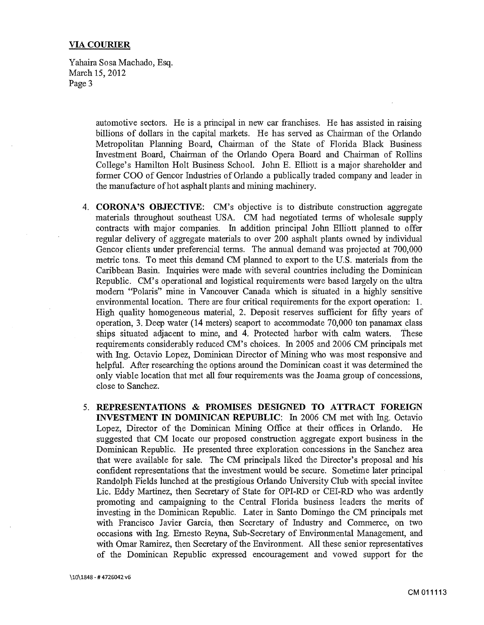Yahaira Sosa Machado, Esq. March 15, 2012 Page 3

> automotive sectors. He is a principal in new car franchises. He has assisted in raising billions of dollars in the capital markets. He has served as Chairman of the Orlando Metropolitan Planning Board, Chairman of the State of Florida Black Business Investment Board, Chairman of the Orlando Opera Board and Chairman of Rollins College's Hamilton Holt Business School. John E. Elliott is a major shareholder and former COO of Gencor Industries of Orlando a publically traded company and leader in the manufacture of hot asphalt plants and mining machinery.

- 4. **CORONA'S OBJECTIVE:** CM's objective is to distribute construction aggregate materials throughout southeast USA. CM had negotiated terms of wholesale supply contracts with major companies. In addition principal John Elliott planned to offer regular delivery of aggregate materials to over 200 asphalt plants owned by individual Gencor clients under preferencial terms. The annual demand was projected at 700,000 metric tons. To meet this demand CM planned to export to the U.S. materials from the Caribbean Basin. Inquiries were made with several countries including the Dominican Republic. CM's operational and logistical requirements were based largely on the ultra modern "Polaris" mine in Vancouver Canada which is situated in a highly sensitive environmental location. There are four critical requirements for the export operation: 1. High quality homogeneous material, 2. Deposit reserves sufficient for fifty years of operation, 3. Deep water (14 meters) seaport to accommodate 70,000 ton panamax class ships situated adjacent to mine, and 4. Protected harbor with calm waters. These requirements considerably reduced CM's choices. In 2005 and 2006 CM principals met with Ing. Octavio Lopez, Dominican Director of Mining who was most responsive and helpful. After researching the options around the Dominican coast it was determined the only viable location that met all four requirements was the Joama group of concessions, close to Sanchez.
- 5. **REPRESENTATIONS & PROMISES DESIGNED TO ATTRACT FOREIGN INVESTMENT IN DOMINICAN REPUBLIC:** In 2006 CM met with Ing. Octavio Lopez, Director of the Dominican Mining Office at their offices in Orlando. He suggested that CM locate our proposed construction aggregate export business in the Dominican Republic. He presented three exploration concessions in the Sanchez area that were available for sale. The CM principals liked the Director's proposal and his confident representations that the investment would be secure. Sometime later principal Randolph Fields lunched at the prestigious Orlando University Club with special invitee Lie. Eddy Martinez, then Secretary of State for OPI-RD or CEI-RD who was ardently promoting and campaigning to the Central Florida business leaders the merits of investing in the Dominican Republic. Later in Santo Domingo the CM principals met with Francisco Javier Garcia, then Secretary of Industry and Commerce, on two occasions with Ing. Ernesto Reyna, Sub-Secretary of Environmental Management, and with Omar Ramirez, then Secretary of the Environment. All these senior representatives of the Dominican Republic expressed encouragement and vowed support for the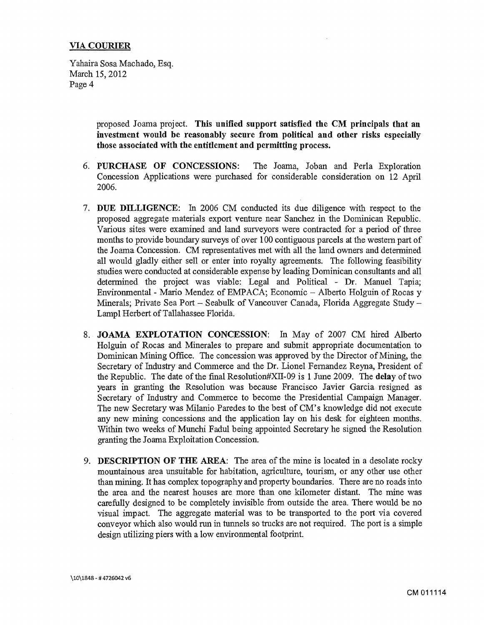Yahaira Sosa Machado, Esq. March 15, 2012 Page 4

> proposed Joama project. This unified support satisfied the CM principals that an investment would be reasonably secure from political and other risks especially those associated with the entitlement and permitting process.

- 6. PURCHASE OF CONCESSIONS: The Joama, Joban and Perla Exploration Concession Applications were purchased for considerable consideration on 12 April 2006.
- 7. DUE DILLIGENCE: In 2006 CM conducted its due diligence with respect to the proposed aggregate materials export venture near Sanchez in the Dominican Republic. Various sites were examined and land surveyors were contracted for a period of three months to provide boundary surveys of over 100 contiguous parcels at the western part of the Joama Concession. CM representatives met with all the land owners and determined all would gladly either sell or enter into royalty agreements. The following feasibility studies were conducted at considerable expense by leading Dominican consultants and all determined the project was viable: Legal and Political - Dr. Manuel Tapia; Environmental - Mario Mendez of EMPACA; Economic - Alberto Holguin of Rocas y Minerals; Private Sea Port – Seabulk of Vancouver Canada, Florida Aggregate Study – Lampl Herbert of Tallahassee Florida.
- 8. JOAMA EXPLOTATION CONCESSION: In May of 2007 CM hired Alberto Holguin of Rocas and Minerales to prepare and submit appropriate documentation to Dominican Mining Office. The concession was approved by the Director of Mining, the Secretary of Industry and Commerce and the Dr. Lionel Fernandez Reyna, President of the Republic. The date of the final Resolution#Xll-09 is 1 June 2009. The delay of two years in granting the Resolution was because Francisco Javier Garcia resigned as Secretary of Industry and Commerce to become the Presidential Campaign Manager. The new Secretary was Milanio Paredes to the best of CM's knowledge did not execute any new mining concessions and the application lay on his desk for eighteen months. Within two weeks of Munchi Fadul being appointed Secretary he signed the Resolution granting the Joama Exploitation Concession.
- 9. DESCRIPTION OF THE AREA: The area of the mine is located in a desolate rocky mountainous area unsuitable for habitation, agriculture, tourism, or any other use other than mining. It has complex topography and property boundaries. There are no roads into the area and the nearest houses are more than one kilometer distant. The mine was carefully designed to be completely invisible from outside the area. There would be no visual impact. The aggregate material was to be transported to the port via covered conveyor which also would run in tunnels so trucks are not required. The port is a simple design utilizing piers with a low environmental footprint.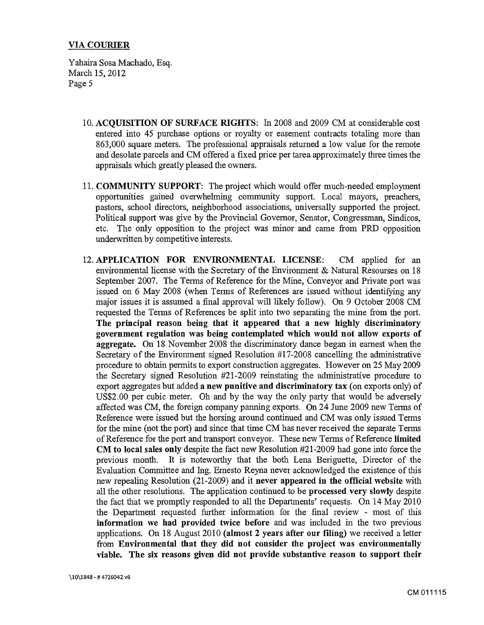Y ahaira Sosa Machado, Esq. March 15, 2012 Page 5

- 10. ACQUISITION OF SURFACE RIGHTS: In 2008 and 2009 CM at considerable cost entered into 45 purchase options or royalty or easement contracts totaling more than 863,000 square meters. The professional appraisals returned a low value for the remote and desolate parcels and CM offered a fixed price per tarea approximately three times the appraisals which greatly pleased the owners.
- 11. COMMUNITY SUPPORT: The project which would offer much-needed employment opportunities gained overwhelming community support. Local mayors, preachers, pastors, school directors, neighborhood associations, universally supported the project. Political support was give by the Provincial Governor, Senator, Congressman, Sindicos, etc. The only opposition to the project was minor and came from PRD opposition underwritten by competitive interests.
- 12. APPLICATION FOR ENVIRONMENTAL LICENSE: CM applied for an environmental license with the Secretary of the Environment & Natural Resourses on 18 September 2007. The Terms of Reference for the Mine, Conveyor and Private port was issued on 6 May 2008 (when Terms of References are issued without identifying any major issues it is assumed a final approval will likely follow). On 9 October 2008 CM requested the Terms of References be split into two separating the mine from the port. The principal reason being that it appeared that a new highly discriminatory government regulation was being contemplated which would not allow exports of aggregate. On 18 November 2008 the discriminatory dance began in earnest when the Secretary of the Environment signed Resolution #17-2008 cancelling the administrative procedure to obtain permits to export construction aggregates. However on 25 May 2009 the Secretary signed Resolution #21-2009 reinstating the administrative procedure to export aggregates but added a new punitive and discriminatory tax (on exports only) of US\$2.00 per cubic meter. Oh and by the way the only party that would be adversely affected was CM, the foreign company panning exports. On 24 June 2009 new Terms of Reference were issued but the horsing around continued and CM was only issued Terms for the mine (not the port) and since that time CM has never received the separate Terms of Reference for the port and transport conveyor. These new Terms of Reference limited CM to local sales only despite the fact new Resolution #21-2009 had gone into force the previous month. It is noteworthy that the both Lena Beriguette, Director of the Evaluation Committee and Ing. Emesto Reyna never acknowledged the existence of this new repealing Resolution (21-2009) and it never appeared in the official website with all the other resolutions. The application continued to be processed very slowly despite the fact that we promptly responded to all the Departments' requests. On 14 May 2010 the Department requested further information for the final review - most of this information we had provided twice before and was included in the two previous applications. On 18 August 2010 (almost 2 years after our filing) we received a letter from Environmental that they did not consider the project was environmentally viable. The six reasons given did not provide substantive reason to support their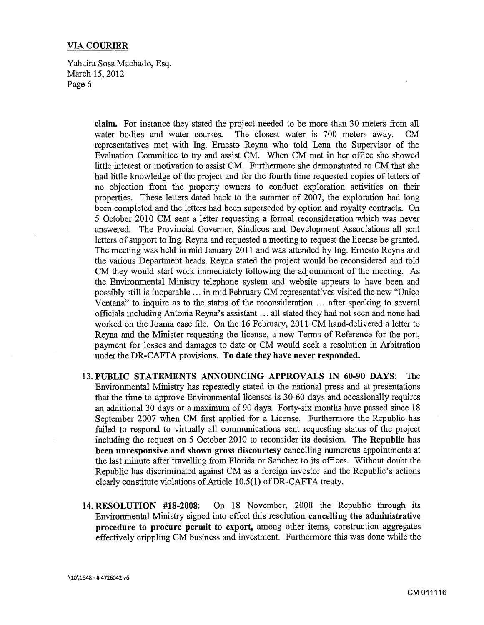Yahaira Sosa Machado, Esq. March 15, 2012 Page 6

> **claim.** For instance they stated the project needed to be more than 30 meters from all water bodies and water courses. The closest water is 700 meters away. CM representatives met with Ing. Emesto Reyna who told Lena the Supervisor of the Evaluation Committee to try and assist CM. When CM met in her office she showed little interest or motivation to assist CM. Furthermore she demonstrated to CM that she had little knowledge of the project and for the fourth time requested copies of letters of no objection from the property owners to conduct exploration activities on their properties. These letters dated back to the summer of 2007, the exploration had long been completed and the letters had been superseded by option and royalty contracts. On *5* October 2010 CM sent a letter requesting a formal reconsideration which was never answered. The Provincial Governor, Sindicos and Development Associations all sent letters of support to Ing. Reyna and requested a meeting to request the license be granted. The meeting was held in mid January 2011 and was attended by Ing. Emesto Reyna and the various Department heads. Reyna stated the project would be reconsidered and told CM they would start work immediately following the adjournment of the meeting. As the Environmental Ministry telephone system and website appears to have been and possibly still is inoperable ... in mid February CM representatives visited the new ''Unico Ventana" to inquire as to the status of the reconsideration ... after speaking to several officials including Antonia Reyna's assistant ... all stated they had not seen and none had worked on the Joama case file. On the 16 February, 2011 CM hand-delivered a letter to Reyna and the Minister requesting the license, a new Terms of Reference for the port, payment for losses and damages to date or CM would seek a resolution in Arbitration under the DR-CAFTA provisions. **To date they have never responded.**

- 13. **PUBLIC STATEMENTS ANNOUNCING APPROVALS IN 60-90 DAYS:** The Environmental Ministry has repeatedly stated in the national press and at presentations that the time to approve Environmental licenses is 30-60 days and occasionally requires an additional 30 days or a maximum of90 days. Forty-six months have passed since 18 September 2007 when CM first applied for a License. Furthermore the Republic has failed to respond to virtually all communications sent requesting status of the project including the request on 5 October 2010 to reconsider its decision. The **Republic has been unresponsive and shown gross discourtesy** cancelling numerous appointments at the last minute after travelling from Florida or Sanchez to its offices. Without doubt the Republic has discriminated against CM as a foreign investor and the Republic's actions clearly constitute violations of Article 10.5(1) of DR-CAFTA treaty.
- 14. **RESOLUTION #18-2008:** On 18 November, 2008 the Republic through its Environmental Ministry signed into effect this resolution **cancelling the administrative procedure to procure permit to export,** among other items, construction aggregates effectively crippling CM business and investment. Furthermore this was done while the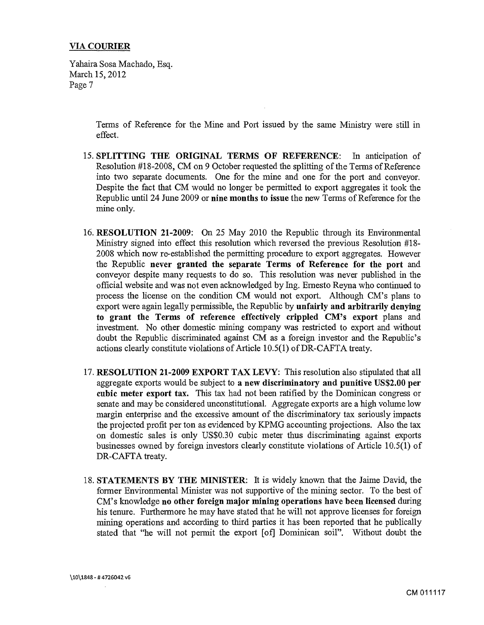Yahaira Sosa Machado, Esq. March 15, 2012 Page 7

> Terms of Reference for the Mine and Port issued by the same Ministry were still in effect.

- 15. SPLITTING THE ORIGINAL TERMS OF REFERENCE: In anticipation of Resolution #18-2008, CM on 9 October requested the splitting of the Terms of Reference into two separate documents. One for the mine and one for the port and conveyor. Despite the fact that CM would no longer be permitted to export aggregates it took the Republic until 24 June 2009 or nine months to issue the new Terms of Reference for the mine only.
- 16. RESOLUTION 21-2009: On 25 May 2010 the Republic through its Environmental Ministry signed into effect this resolution which reversed the previous Resolution #18- 2008 which now re-established the permitting procedure to export aggregates. However the Republic never granted the separate Terms of Reference for the port and conveyor despite many requests to do so. This resolution was never published in the official website and was not even acknowledged by Ing. Ernesto Reyna who continued to process the license on the condition CM would not export. Although CM's plans to export were again legally permissible, the Republic by unfairly and arbitrarily denying to grant the Terms of reference effectively crippled CM's export plans and investment. No other domestic mining company was restricted to export and without doubt the Republic discriminated against CM as a foreign investor and the Republic's actions clearly constitute violations of Article 10.5(1) of DR-CAFTA treaty.
- 17. RESOLUTION 21-2009 EXPORT TAX LEVY: This resolution also stipulated that all aggregate exports would be subject to a new discriminatory and punitive US\$2.00 per cubic meter export tax. This tax had not been ratified by the Dominican congress or senate and may be considered unconstitutional. Aggregate exports are a high volume low margin enterprise and the excessive amount of the discriminatory tax seriously impacts the projected profit per ton as evidenced by KPMG accounting projections. Also the tax on domestic sales is only US\$0.30 cubic meter thus discriminating against exports businesses owned by foreign investors clearly constitute violations of Article 10.5(1) of DR-CAFTA treaty.
- 18. STATEMENTS BY THE MINISTER: It is widely known that the Jaime David, the former Environmental Minister was not supportive of the mining sector. To the best of CM's knowledge no other foreign major mining operations have been licensed during his tenure. Furthermore he may have stated that he will not approve licenses for foreign mining operations and according to third parties it has been reported that he publically stated that "he will not permit the export [of] Dominican soil". Without doubt the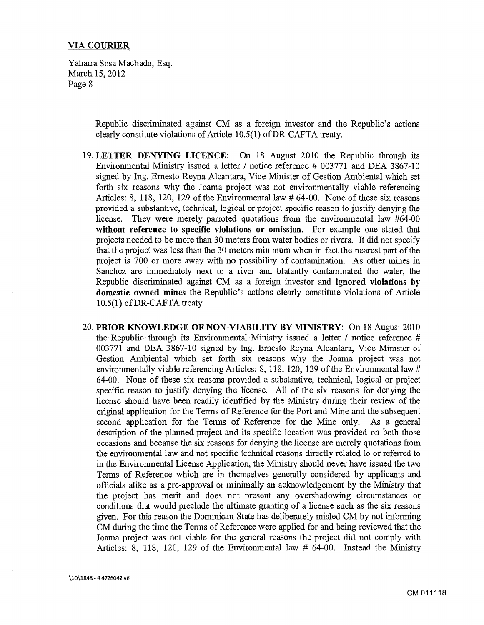Yahaira Sosa Machado, Esq. March 15, 2012 Page 8

> Republic discriminated against CM as a foreign investor and the Republic's actions clearly constitute violations of Article 10.5(1) ofDR-CAFTA treaty.

- 19. LETTER DENYING LICENCE: On 18 August 2010 the Republic through its Environmental Ministry issued a letter / notice reference  $\#003771$  and DEA 3867-10 signed by Ing. Emesto Reyna Alcantara, Vice Minister of Gestion Ambiental which set forth six reasons why the Joama project was not environmentally viable referencing Articles: 8, 118, 120, 129 of the Environmental law  $\#$  64-00. None of these six reasons provided a substantive, technical, logical or project specific reason to justify denying the license. They were merely parroted quotations from the environmental law #64-00 without reference to specific violations or omission. For example one stated that projects needed to be more than 30 meters from water bodies or rivers. It did not specify that the project was less than the 30 meters minimum when in fact the nearest part of the project is 700 or more away with no possibility of contamination. As other mines in Sanchez are immediately next to a river and blatantly contaminated the water, the Republic discriminated against CM as a foreign investor and ignored violations by domestic owned mines the Republic's actions clearly constitute violations of Article 10.5(1) ofDR-CAFTA treaty.
- 20. PRIOR KNOWLEDGE OF NON-VIABILITY BY MINISTRY: On 18 August 2010 the Republic through its Environmental Ministry issued a letter  $\ell$  notice reference  $\#$ 003771 and DEA 3867-10 signed by Ing. Emesto Reyna Alcantara, Vice Minister of Gestion Ambiental which set forth six reasons why the Joama project was not environmentally viable referencing Articles: 8, 118, 120, 129 of the Environmental law # 64-00. None of these six reasons provided a substantive, technical, logical or project specific reason to justify denying the license. All of the six reasons for denying the license should have been readily identified by the Ministry during their review of the original application for the Terms of Reference for the Port and Mine and the subsequent second application for the Terms of Reference for the Mine only. As a general description of the planned project and its specific location was provided on both those occasions and because the six reasons for denying the license are merely quotations from the environmental law and not specific technical reasons directly related to or referred to in the Environmental License Application, the Ministry should never have issued the two Terms of Reference which are in themselves generally considered by applicants and officials alike as a pre-approval or minimally an acknowledgement by the Ministry that the project has merit and does not present any overshadowing circumstances or conditions that would preclude the ultimate granting of a license such as the six reasons given. For this reason the Dominican State has deliberately misled CM by not informing CM during the time the Terms of Reference were applied for and being reviewed that the Joama project was not viable for the general reasons the project did not comply with Articles: 8, 118, 120, 129 of the Environmental law # 64-00. Instead the Ministry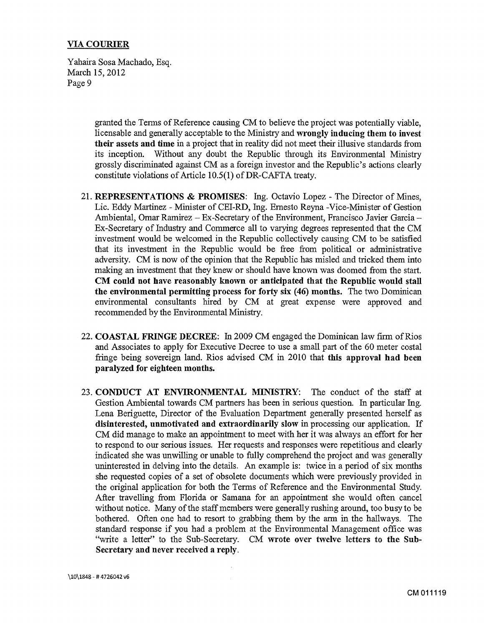Y ahaira Sosa Machado, Esq. March 15,2012 Page 9

> granted the Terms of Reference causing CM to believe the project was potentially viable, licensable and generally acceptable to the Ministry and wrongly inducing them to invest their assets and time in a project that in reality did not meet their illusive standards from its inception. Without any doubt the Republic through its Environmental Ministry grossly discriminated against CM as a foreign investor and the Republic's actions clearly constitute violations of Article 10.5(1) of DR-CAFTA treaty.

- 21. REPRESENTATIONS & PROMISES: Ing. Octavio Lopez The Director of Mines, Lie. Eddy Martinez - Minister of CEI-RD, Ing. Emesto Reyna -Vice-Minister of Gestion Ambiental, Omar Ramirez - Ex-Secretary of the Environment, Francisco Javier Garcia -Ex-Secretary of Industry and Commerce all to varying degrees represented that the CM investment would be welcomed in the Republic collectively causing CM to be satisfied that its investment in the Republic would be free from political or administrative adversity. CM is now of the opinion that the Republic has misled and tricked them into making an investment that they knew or should have known was doomed from the start. CM could not have reasonably known or anticipated that the Republic would stall the environmental permitting process for forty six (46) months. The two Dominican environmental consultants hired by CM at great expense were approved and recommended by the Environmental Ministry.
- 22. COASTAL FRINGE DECREE: In 2009 CM engaged the Dominican law firm of Rios and Associates to apply for Executive Decree to use a small part of the 60 meter costal fringe being sovereign land. Rios advised CM in 2010 that this approval had been paralyzed for eighteen months.
- 23. CONDUCT AT ENVIRONMENTAL MINISTRY: The conduct of the staff at Gestion Ambiental towards CM partners has been in serious question. In particular Ing. Lena Beriguette, Director of the Evaluation Department generally presented herself as disinterested, unmotivated and extraordinarily slow in processing our application. If CM did manage to make an appointment to meet with her it was always an effort for her to respond to our serious issues. Her requests and responses were repetitious and clearly indicated she was unwilling or unable to fully comprehend the project and was generally uninterested in delving into the details. An example is: twice in a period of six months she requested copies of a set of obsolete documents which were previously provided in the original application for both the Terms of Reference and the Environmental Study. After travelling from Florida or Samana for an appointment she would often cancel without notice. Many of the staff members were generally rushing around, too busy to be bothered. Often one had to resort to grabbing them by the arm in the hallways. The standard response if you had a problem at the Environmental Management office was "write a letter" to the Sub-Secretary. CM wrote over twelve letters to the Sub-Secretary and never received a reply.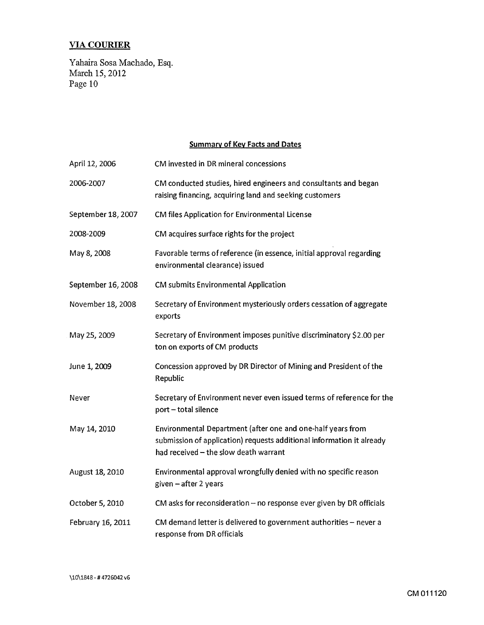Yahaira Sosa Machado, Esq. March 15, 2012 Page 10

# Summary of Key Facts and Dates

| April 12, 2006     | CM invested in DR mineral concessions                                                                                                                                         |
|--------------------|-------------------------------------------------------------------------------------------------------------------------------------------------------------------------------|
| 2006-2007          | CM conducted studies, hired engineers and consultants and began<br>raising financing, acquiring land and seeking customers                                                    |
| September 18, 2007 | CM files Application for Environmental License                                                                                                                                |
| 2008-2009          | CM acquires surface rights for the project                                                                                                                                    |
| May 8, 2008        | Favorable terms of reference (in essence, initial approval regarding<br>environmental clearance) issued                                                                       |
| September 16, 2008 | <b>CM submits Environmental Application</b>                                                                                                                                   |
| November 18, 2008  | Secretary of Environment mysteriously orders cessation of aggregate<br>exports                                                                                                |
| May 25, 2009       | Secretary of Environment imposes punitive discriminatory \$2.00 per<br>ton on exports of CM products                                                                          |
| June 1, 2009       | Concession approved by DR Director of Mining and President of the<br>Republic                                                                                                 |
| Never              | Secretary of Environment never even issued terms of reference for the<br>port - total silence                                                                                 |
| May 14, 2010       | Environmental Department (after one and one-half years from<br>submission of application) requests additional information it already<br>had received - the slow death warrant |
| August 18, 2010    | Environmental approval wrongfully denied with no specific reason<br>given - after 2 years                                                                                     |
| October 5, 2010    | CM asks for reconsideration - no response ever given by DR officials                                                                                                          |
| February 16, 2011  | CM demand letter is delivered to government authorities - never a<br>response from DR officials                                                                               |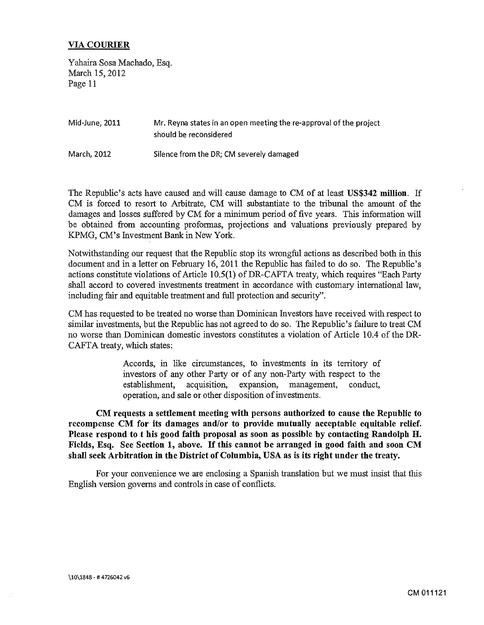Y ahaira Sosa Machado, Esq. March 15, 2012 Page 11

| Mid-June, 2011 | Mr. Reyna states in an open meeting the re-approval of the project<br>should be reconsidered |
|----------------|----------------------------------------------------------------------------------------------|
| March, 2012    | Silence from the DR; CM severely damaged                                                     |

The Republic's acts have caused and will cause damage to CM of at least US\$342 million. If CM is forced to resort to Arbitrate, CM will substantiate to the tribunal the amount of the damages and losses suffered by CM for a minimum period of five years. This information will be obtained from accounting proformas, projections and valuations previously prepared by KPMG, CM's Investment Bank in New York.

Notwithstanding our request that the Republic stop its wrongful actions as described both in this document and in a letter on February 16, 2011 the Republic has failed to do so. The Republic's actions constitute violations of Article  $10.5(1)$  of DR-CAFTA treaty, which requires "Each Party shall accord to covered investments treatment in accordance with customary international law, including fair and equitable treatment and full protection and security''.

CM has requested to be treated no worse than Dominican Investors have received with respect to similar investments, but the Republic has not agreed to do so. The Republic's failure to treat CM no worse than Dominican domestic investors constitutes a violation of Article 10.4 of the DR-CAFTA treaty, which states:

> Accords, in like circumstances, to investments in its territory of investors of any other Party or of any non-Party with respect to the establishment, acquisition, expansion, management, conduct, operation, and sale or other disposition of investments.

CM requests a settlement meeting with persons authorized to cause the Republic to recompense CM for its damages and/or to provide mutually acceptable equitable relief. Please respond to t his good faith proposal as soon as possible by contacting Randolph H. Fields, Esq. See Section 1, above. If this cannot be arranged in good faith and soon CM shall seek Arbitration in the District of Columbia, USA as is its right under the treaty.

For your convenience we are enclosing a Spanish translation but we must insist that this English version governs and controls in case of conflicts.